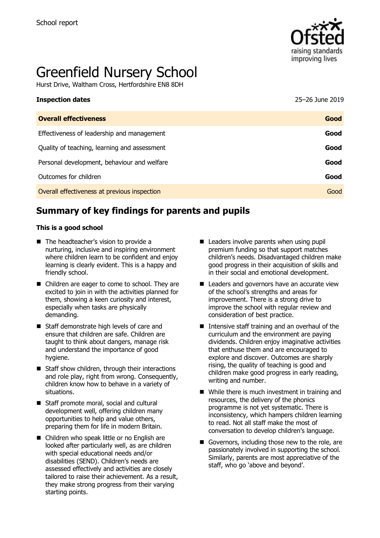

# Greenfield Nursery School

Hurst Drive, Waltham Cross, Hertfordshire EN8 8DH

| 25-26 June 2019 |
|-----------------|
| Good            |
| Good            |
| Good            |
| Good            |
| Good            |
| Good            |
|                 |

# **Summary of key findings for parents and pupils**

#### **This is a good school**

- The headteacher's vision to provide a nurturing, inclusive and inspiring environment where children learn to be confident and enjoy learning is clearly evident. This is a happy and friendly school.
- Children are eager to come to school. They are excited to join in with the activities planned for them, showing a keen curiosity and interest, especially when tasks are physically demanding.
- Staff demonstrate high levels of care and ensure that children are safe. Children are taught to think about dangers, manage risk and understand the importance of good hygiene.
- Staff show children, through their interactions and role play, right from wrong. Consequently, children know how to behave in a variety of situations.
- Staff promote moral, social and cultural development well, offering children many opportunities to help and value others, preparing them for life in modern Britain.
- Children who speak little or no English are looked after particularly well, as are children with special educational needs and/or disabilities (SEND). Children's needs are assessed effectively and activities are closely tailored to raise their achievement. As a result, they make strong progress from their varying starting points.
- Leaders involve parents when using pupil premium funding so that support matches children's needs. Disadvantaged children make good progress in their acquisition of skills and in their social and emotional development.
- Leaders and governors have an accurate view of the school's strengths and areas for improvement. There is a strong drive to improve the school with regular review and consideration of best practice.
- Intensive staff training and an overhaul of the curriculum and the environment are paying dividends. Children enjoy imaginative activities that enthuse them and are encouraged to explore and discover. Outcomes are sharply rising, the quality of teaching is good and children make good progress in early reading, writing and number.
- While there is much investment in training and resources, the delivery of the phonics programme is not yet systematic. There is inconsistency, which hampers children learning to read. Not all staff make the most of conversation to develop children's language.
- Governors, including those new to the role, are passionately involved in supporting the school. Similarly, parents are most appreciative of the staff, who go 'above and beyond'.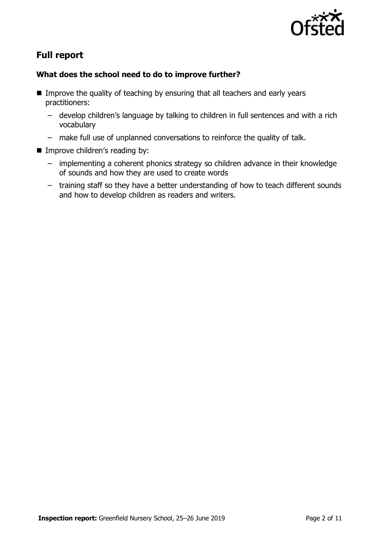

# **Full report**

### **What does the school need to do to improve further?**

- Improve the quality of teaching by ensuring that all teachers and early years practitioners:
	- develop children's language by talking to children in full sentences and with a rich vocabulary
	- make full use of unplanned conversations to reinforce the quality of talk.
- Improve children's reading by:
	- implementing a coherent phonics strategy so children advance in their knowledge of sounds and how they are used to create words
	- training staff so they have a better understanding of how to teach different sounds and how to develop children as readers and writers.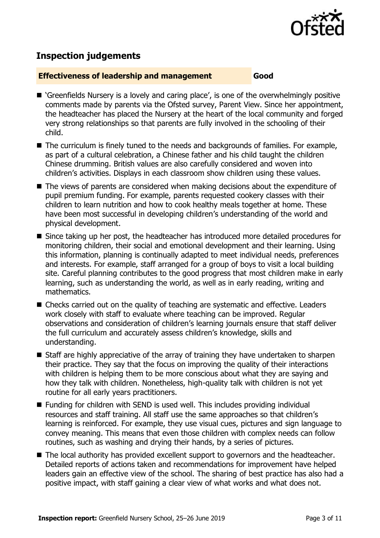

# **Inspection judgements**

#### **Effectiveness of leadership and management Good**

- 'Greenfields Nursery is a lovely and caring place', is one of the overwhelmingly positive comments made by parents via the Ofsted survey, Parent View. Since her appointment, the headteacher has placed the Nursery at the heart of the local community and forged very strong relationships so that parents are fully involved in the schooling of their child.
- The curriculum is finely tuned to the needs and backgrounds of families. For example, as part of a cultural celebration, a Chinese father and his child taught the children Chinese drumming. British values are also carefully considered and woven into children's activities. Displays in each classroom show children using these values.
- The views of parents are considered when making decisions about the expenditure of pupil premium funding. For example, parents requested cookery classes with their children to learn nutrition and how to cook healthy meals together at home. These have been most successful in developing children's understanding of the world and physical development.
- Since taking up her post, the headteacher has introduced more detailed procedures for monitoring children, their social and emotional development and their learning. Using this information, planning is continually adapted to meet individual needs, preferences and interests. For example, staff arranged for a group of boys to visit a local building site. Careful planning contributes to the good progress that most children make in early learning, such as understanding the world, as well as in early reading, writing and mathematics.
- Checks carried out on the quality of teaching are systematic and effective. Leaders work closely with staff to evaluate where teaching can be improved. Regular observations and consideration of children's learning journals ensure that staff deliver the full curriculum and accurately assess children's knowledge, skills and understanding.
- Staff are highly appreciative of the array of training they have undertaken to sharpen their practice. They say that the focus on improving the quality of their interactions with children is helping them to be more conscious about what they are saying and how they talk with children. Nonetheless, high-quality talk with children is not yet routine for all early years practitioners.
- Funding for children with SEND is used well. This includes providing individual resources and staff training. All staff use the same approaches so that children's learning is reinforced. For example, they use visual cues, pictures and sign language to convey meaning. This means that even those children with complex needs can follow routines, such as washing and drying their hands, by a series of pictures.
- The local authority has provided excellent support to governors and the headteacher. Detailed reports of actions taken and recommendations for improvement have helped leaders gain an effective view of the school. The sharing of best practice has also had a positive impact, with staff gaining a clear view of what works and what does not.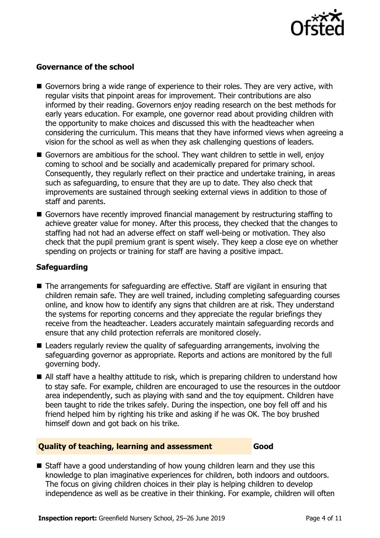

#### **Governance of the school**

- Governors bring a wide range of experience to their roles. They are very active, with regular visits that pinpoint areas for improvement. Their contributions are also informed by their reading. Governors enjoy reading research on the best methods for early years education. For example, one governor read about providing children with the opportunity to make choices and discussed this with the headteacher when considering the curriculum. This means that they have informed views when agreeing a vision for the school as well as when they ask challenging questions of leaders.
- Governors are ambitious for the school. They want children to settle in well, enjoy coming to school and be socially and academically prepared for primary school. Consequently, they regularly reflect on their practice and undertake training, in areas such as safeguarding, to ensure that they are up to date. They also check that improvements are sustained through seeking external views in addition to those of staff and parents.
- Governors have recently improved financial management by restructuring staffing to achieve greater value for money. After this process, they checked that the changes to staffing had not had an adverse effect on staff well-being or motivation. They also check that the pupil premium grant is spent wisely. They keep a close eye on whether spending on projects or training for staff are having a positive impact.

#### **Safeguarding**

- The arrangements for safeguarding are effective. Staff are vigilant in ensuring that children remain safe. They are well trained, including completing safeguarding courses online, and know how to identify any signs that children are at risk. They understand the systems for reporting concerns and they appreciate the regular briefings they receive from the headteacher. Leaders accurately maintain safeguarding records and ensure that any child protection referrals are monitored closely.
- Leaders regularly review the quality of safeguarding arrangements, involving the safeguarding governor as appropriate. Reports and actions are monitored by the full governing body.
- All staff have a healthy attitude to risk, which is preparing children to understand how to stay safe. For example, children are encouraged to use the resources in the outdoor area independently, such as playing with sand and the toy equipment. Children have been taught to ride the trikes safely. During the inspection, one boy fell off and his friend helped him by righting his trike and asking if he was OK. The boy brushed himself down and got back on his trike.

#### **Quality of teaching, learning and assessment Good**

■ Staff have a good understanding of how young children learn and they use this knowledge to plan imaginative experiences for children, both indoors and outdoors. The focus on giving children choices in their play is helping children to develop independence as well as be creative in their thinking. For example, children will often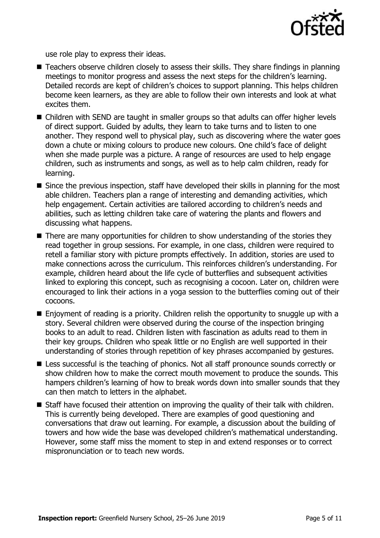

use role play to express their ideas.

- Teachers observe children closely to assess their skills. They share findings in planning meetings to monitor progress and assess the next steps for the children's learning. Detailed records are kept of children's choices to support planning. This helps children become keen learners, as they are able to follow their own interests and look at what excites them.
- Children with SEND are taught in smaller groups so that adults can offer higher levels of direct support. Guided by adults, they learn to take turns and to listen to one another. They respond well to physical play, such as discovering where the water goes down a chute or mixing colours to produce new colours. One child's face of delight when she made purple was a picture. A range of resources are used to help engage children, such as instruments and songs, as well as to help calm children, ready for learning.
- Since the previous inspection, staff have developed their skills in planning for the most able children. Teachers plan a range of interesting and demanding activities, which help engagement. Certain activities are tailored according to children's needs and abilities, such as letting children take care of watering the plants and flowers and discussing what happens.
- There are many opportunities for children to show understanding of the stories they read together in group sessions. For example, in one class, children were required to retell a familiar story with picture prompts effectively. In addition, stories are used to make connections across the curriculum. This reinforces children's understanding. For example, children heard about the life cycle of butterflies and subsequent activities linked to exploring this concept, such as recognising a cocoon. Later on, children were encouraged to link their actions in a yoga session to the butterflies coming out of their cocoons.
- Enjoyment of reading is a priority. Children relish the opportunity to snuggle up with a story. Several children were observed during the course of the inspection bringing books to an adult to read. Children listen with fascination as adults read to them in their key groups. Children who speak little or no English are well supported in their understanding of stories through repetition of key phrases accompanied by gestures.
- Less successful is the teaching of phonics. Not all staff pronounce sounds correctly or show children how to make the correct mouth movement to produce the sounds. This hampers children's learning of how to break words down into smaller sounds that they can then match to letters in the alphabet.
- Staff have focused their attention on improving the quality of their talk with children. This is currently being developed. There are examples of good questioning and conversations that draw out learning. For example, a discussion about the building of towers and how wide the base was developed children's mathematical understanding. However, some staff miss the moment to step in and extend responses or to correct mispronunciation or to teach new words.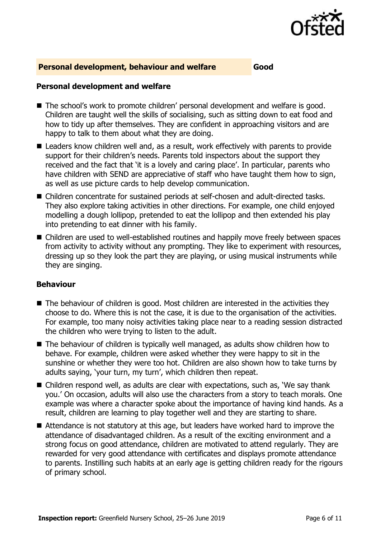

#### **Personal development, behaviour and welfare Good**

#### **Personal development and welfare**

- The school's work to promote children' personal development and welfare is good. Children are taught well the skills of socialising, such as sitting down to eat food and how to tidy up after themselves. They are confident in approaching visitors and are happy to talk to them about what they are doing.
- Leaders know children well and, as a result, work effectively with parents to provide support for their children's needs. Parents told inspectors about the support they received and the fact that 'it is a lovely and caring place'. In particular, parents who have children with SEND are appreciative of staff who have taught them how to sign, as well as use picture cards to help develop communication.
- Children concentrate for sustained periods at self-chosen and adult-directed tasks. They also explore taking activities in other directions. For example, one child enjoyed modelling a dough lollipop, pretended to eat the lollipop and then extended his play into pretending to eat dinner with his family.
- Children are used to well-established routines and happily move freely between spaces from activity to activity without any prompting. They like to experiment with resources, dressing up so they look the part they are playing, or using musical instruments while they are singing.

#### **Behaviour**

- The behaviour of children is good. Most children are interested in the activities they choose to do. Where this is not the case, it is due to the organisation of the activities. For example, too many noisy activities taking place near to a reading session distracted the children who were trying to listen to the adult.
- The behaviour of children is typically well managed, as adults show children how to behave. For example, children were asked whether they were happy to sit in the sunshine or whether they were too hot. Children are also shown how to take turns by adults saying, 'your turn, my turn', which children then repeat.
- Children respond well, as adults are clear with expectations, such as, 'We say thank you.' On occasion, adults will also use the characters from a story to teach morals. One example was where a character spoke about the importance of having kind hands. As a result, children are learning to play together well and they are starting to share.
- Attendance is not statutory at this age, but leaders have worked hard to improve the attendance of disadvantaged children. As a result of the exciting environment and a strong focus on good attendance, children are motivated to attend regularly. They are rewarded for very good attendance with certificates and displays promote attendance to parents. Instilling such habits at an early age is getting children ready for the rigours of primary school.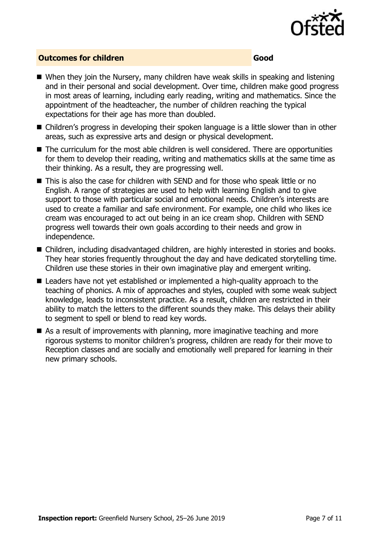

#### **Outcomes for children Good**

- When they join the Nursery, many children have weak skills in speaking and listening and in their personal and social development. Over time, children make good progress in most areas of learning, including early reading, writing and mathematics. Since the appointment of the headteacher, the number of children reaching the typical expectations for their age has more than doubled.
- Children's progress in developing their spoken language is a little slower than in other areas, such as expressive arts and design or physical development.
- The curriculum for the most able children is well considered. There are opportunities for them to develop their reading, writing and mathematics skills at the same time as their thinking. As a result, they are progressing well.
- $\blacksquare$  This is also the case for children with SEND and for those who speak little or no English. A range of strategies are used to help with learning English and to give support to those with particular social and emotional needs. Children's interests are used to create a familiar and safe environment. For example, one child who likes ice cream was encouraged to act out being in an ice cream shop. Children with SEND progress well towards their own goals according to their needs and grow in independence.
- Children, including disadvantaged children, are highly interested in stories and books. They hear stories frequently throughout the day and have dedicated storytelling time. Children use these stories in their own imaginative play and emergent writing.
- Leaders have not yet established or implemented a high-quality approach to the teaching of phonics. A mix of approaches and styles, coupled with some weak subject knowledge, leads to inconsistent practice. As a result, children are restricted in their ability to match the letters to the different sounds they make. This delays their ability to segment to spell or blend to read key words.
- As a result of improvements with planning, more imaginative teaching and more rigorous systems to monitor children's progress, children are ready for their move to Reception classes and are socially and emotionally well prepared for learning in their new primary schools.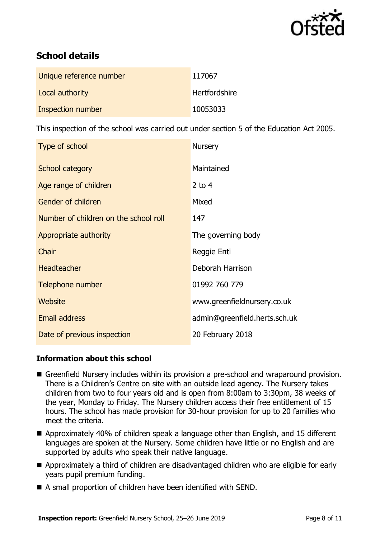

# **School details**

| Unique reference number | 117067        |
|-------------------------|---------------|
| Local authority         | Hertfordshire |
| Inspection number       | 10053033      |

This inspection of the school was carried out under section 5 of the Education Act 2005.

| Type of school                        | <b>Nursery</b>                |
|---------------------------------------|-------------------------------|
| School category                       | Maintained                    |
| Age range of children                 | 2 to $4$                      |
| Gender of children                    | Mixed                         |
| Number of children on the school roll | 147                           |
| Appropriate authority                 | The governing body            |
| Chair                                 | Reggie Enti                   |
| <b>Headteacher</b>                    | Deborah Harrison              |
| Telephone number                      | 01992 760 779                 |
| Website                               | www.greenfieldnursery.co.uk   |
| <b>Email address</b>                  | admin@greenfield.herts.sch.uk |
| Date of previous inspection           | 20 February 2018              |

#### **Information about this school**

- Greenfield Nursery includes within its provision a pre-school and wraparound provision. There is a Children's Centre on site with an outside lead agency. The Nursery takes children from two to four years old and is open from 8:00am to 3:30pm, 38 weeks of the year, Monday to Friday. The Nursery children access their free entitlement of 15 hours. The school has made provision for 30-hour provision for up to 20 families who meet the criteria.
- Approximately 40% of children speak a language other than English, and 15 different languages are spoken at the Nursery. Some children have little or no English and are supported by adults who speak their native language.
- Approximately a third of children are disadvantaged children who are eligible for early years pupil premium funding.
- A small proportion of children have been identified with SEND.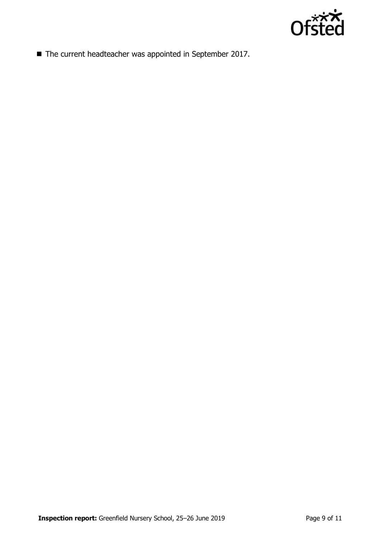

■ The current headteacher was appointed in September 2017.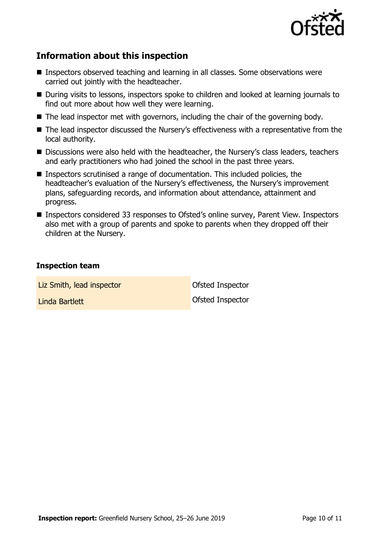

# **Information about this inspection**

- Inspectors observed teaching and learning in all classes. Some observations were carried out jointly with the headteacher.
- During visits to lessons, inspectors spoke to children and looked at learning journals to find out more about how well they were learning.
- The lead inspector met with governors, including the chair of the governing body.
- The lead inspector discussed the Nursery's effectiveness with a representative from the local authority.
- Discussions were also held with the headteacher, the Nursery's class leaders, teachers and early practitioners who had joined the school in the past three years.
- Inspectors scrutinised a range of documentation. This included policies, the headteacher's evaluation of the Nursery's effectiveness, the Nursery's improvement plans, safeguarding records, and information about attendance, attainment and progress.
- Inspectors considered 33 responses to Ofsted's online survey, Parent View. Inspectors also met with a group of parents and spoke to parents when they dropped off their children at the Nursery.

#### **Inspection team**

| Liz Smith, lead inspector | Ofsted Inspector |
|---------------------------|------------------|
| Linda Bartlett            | Ofsted Inspector |